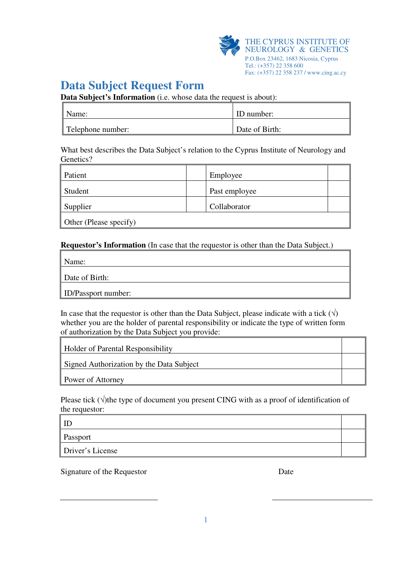

## **Data Subject Request Form**

**Data Subject's Information** (i.e. whose data the request is about):

| Name:             | ID number:     |
|-------------------|----------------|
| Telephone number: | Date of Birth: |

What best describes the Data Subject's relation to the Cyprus Institute of Neurology and Genetics?

| Patient                | Employee      |  |
|------------------------|---------------|--|
| Student                | Past employee |  |
| Supplier               | Collaborator  |  |
| Other (Please specify) |               |  |

## **Requestor's Information** (In case that the requestor is other than the Data Subject.)

Name:

Date of Birth:

ID/Passport number:

In case that the requestor is other than the Data Subject, please indicate with a tick  $(\vec{v})$ whether you are the holder of parental responsibility or indicate the type of written form of authorization by the Data Subject you provide:

Holder of Parental Responsibility

Signed Authorization by the Data Subject

Power of Attorney

Please tick ( $\sqrt{ }$ ) the type of document you present CING with as a proof of identification of the requestor:

ID Passport Driver's License

Signature of the Requestor Date